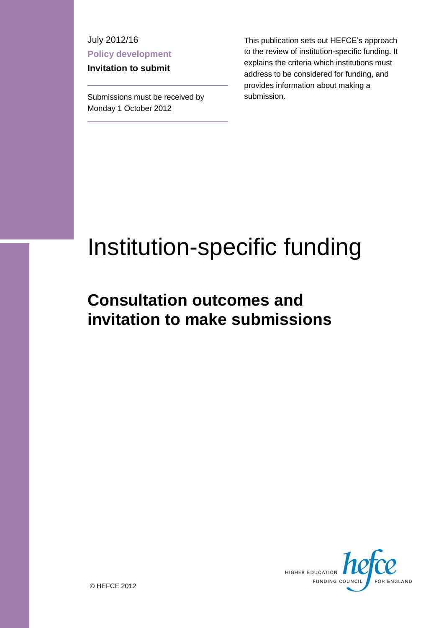July 2012/16 **Policy development**

**Invitation to submit**

Submissions must be received by Monday 1 October 2012

This publication sets out HEFCE's approach to the review of institution-specific funding. It explains the criteria which institutions must address to be considered for funding, and provides information about making a submission.

# Institution-specific funding

# **Consultation outcomes and invitation to make submissions**

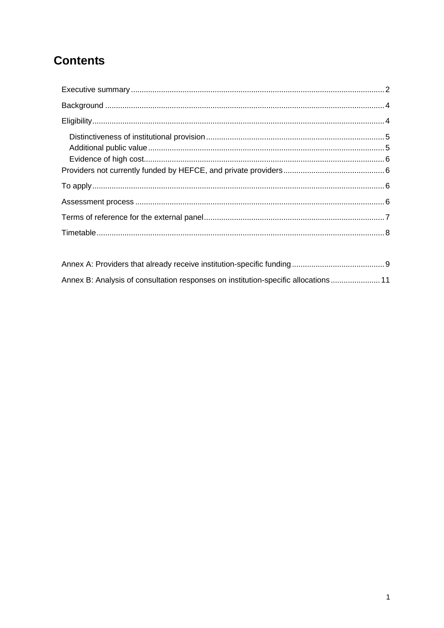# **Contents**

| Annex B: Analysis of consultation responses on institution-specific allocations  11 |  |
|-------------------------------------------------------------------------------------|--|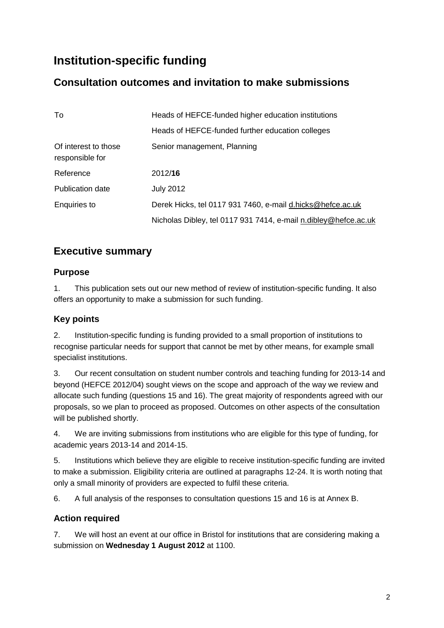# **Institution-specific funding**

# **Consultation outcomes and invitation to make submissions**

| To                                      | Heads of HEFCE-funded higher education institutions             |
|-----------------------------------------|-----------------------------------------------------------------|
|                                         | Heads of HEFCE-funded further education colleges                |
| Of interest to those<br>responsible for | Senior management, Planning                                     |
| Reference                               | 2012/16                                                         |
| <b>Publication date</b>                 | <b>July 2012</b>                                                |
| Enquiries to                            | Derek Hicks, tel 0117 931 7460, e-mail d.hicks@hefce.ac.uk      |
|                                         | Nicholas Dibley, tel 0117 931 7414, e-mail n.dibley@hefce.ac.uk |

# <span id="page-2-0"></span>**Executive summary**

#### **Purpose**

1. This publication sets out our new method of review of institution-specific funding. It also offers an opportunity to make a submission for such funding.

#### **Key points**

2. Institution-specific funding is funding provided to a small proportion of institutions to recognise particular needs for support that cannot be met by other means, for example small specialist institutions.

3. Our recent consultation on student number controls and teaching funding for 2013-14 and beyond (HEFCE 2012/04) sought views on the scope and approach of the way we review and allocate such funding (questions 15 and 16). The great majority of respondents agreed with our proposals, so we plan to proceed as proposed. Outcomes on other aspects of the consultation will be published shortly.

4. We are inviting submissions from institutions who are eligible for this type of funding, for academic years 2013-14 and 2014-15.

5. Institutions which believe they are eligible to receive institution-specific funding are invited to make a submission. Eligibility criteria are outlined at paragraphs 12-24. It is worth noting that only a small minority of providers are expected to fulfil these criteria.

6. A full analysis of the responses to consultation questions 15 and 16 is at Annex B.

## **Action required**

7. We will host an event at our office in Bristol for institutions that are considering making a submission on **Wednesday 1 August 2012** at 1100.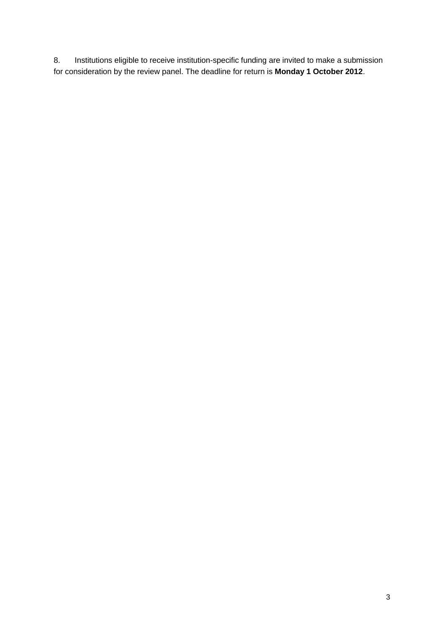8. Institutions eligible to receive institution-specific funding are invited to make a submission for consideration by the review panel. The deadline for return is **Monday 1 October 2012**.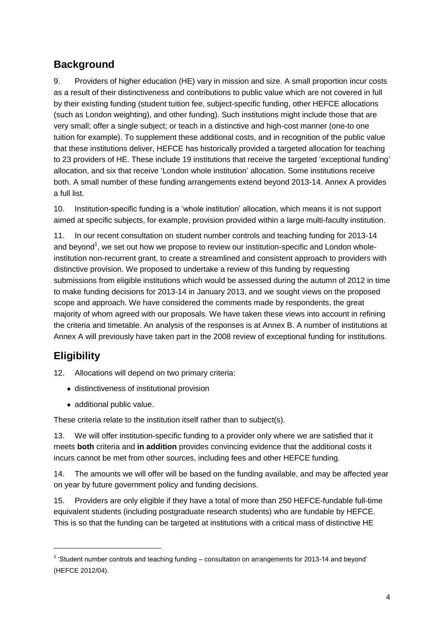# <span id="page-4-0"></span>**Background**

9. Providers of higher education (HE) vary in mission and size. A small proportion incur costs as a result of their distinctiveness and contributions to public value which are not covered in full by their existing funding (student tuition fee, subject-specific funding, other HEFCE allocations (such as London weighting), and other funding). Such institutions might include those that are very small; offer a single subject; or teach in a distinctive and high-cost manner (one-to one tuition for example). To supplement these additional costs, and in recognition of the public value that these institutions deliver, HEFCE has historically provided a targeted allocation for teaching to 23 providers of HE. These include 19 institutions that receive the targeted 'exceptional funding' allocation, and six that receive 'London whole institution' allocation. Some institutions receive both. A small number of these funding arrangements extend beyond 2013-14. Annex A provides a full list.

10. Institution-specific funding is a 'whole institution' allocation, which means it is not support aimed at specific subjects, for example, provision provided within a large multi-faculty institution.

11. In our recent consultation on student number controls and teaching funding for 2013-14 and beyond<sup>1</sup>, we set out how we propose to review our institution-specific and London wholeinstitution non-recurrent grant, to create a streamlined and consistent approach to providers with distinctive provision. We proposed to undertake a review of this funding by requesting submissions from eligible institutions which would be assessed during the autumn of 2012 in time to make funding decisions for 2013-14 in January 2013, and we sought views on the proposed scope and approach. We have considered the comments made by respondents, the great majority of whom agreed with our proposals. We have taken these views into account in refining the criteria and timetable. An analysis of the responses is at Annex B. A number of institutions at Annex A will previously have taken part in the 2008 review of exceptional funding for institutions.

# <span id="page-4-1"></span>**Eligibility**

1

- 12. Allocations will depend on two primary criteria:
	- distinctiveness of institutional provision
	- additional public value.

These criteria relate to the institution itself rather than to subject(s).

13. We will offer institution-specific funding to a provider only where we are satisfied that it meets **both** criteria and **in addition** provides convincing evidence that the additional costs it incurs cannot be met from other sources, including fees and other HEFCE funding.

14. The amounts we will offer will be based on the funding available, and may be affected year on year by future government policy and funding decisions.

15. Providers are only eligible if they have a total of more than 250 HEFCE-fundable full-time equivalent students (including postgraduate research students) who are fundable by HEFCE. This is so that the funding can be targeted at institutions with a critical mass of distinctive HE

 $1$  'Student number controls and teaching funding  $-$  consultation on arrangements for 2013-14 and beyond' (HEFCE 2012/04).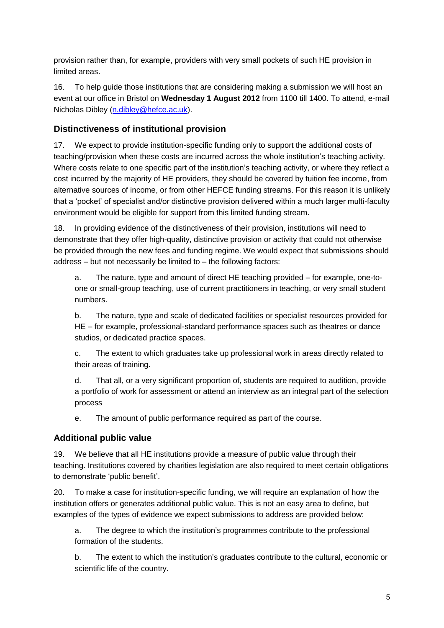provision rather than, for example, providers with very small pockets of such HE provision in limited areas.

16. To help guide those institutions that are considering making a submission we will host an event at our office in Bristol on **Wednesday 1 August 2012** from 1100 till 1400. To attend, e-mail Nicholas Dibley [\(n.dibley@hefce.ac.uk\)](mailto:n.dibley@hefce.ac.uk).

#### <span id="page-5-0"></span>**Distinctiveness of institutional provision**

17. We expect to provide institution-specific funding only to support the additional costs of teaching/provision when these costs are incurred across the whole institution's teaching activity. Where costs relate to one specific part of the institution's teaching activity, or where they reflect a cost incurred by the majority of HE providers, they should be covered by tuition fee income, from alternative sources of income, or from other HEFCE funding streams. For this reason it is unlikely that a 'pocket' of specialist and/or distinctive provision delivered within a much larger multi-faculty environment would be eligible for support from this limited funding stream.

18. In providing evidence of the distinctiveness of their provision, institutions will need to demonstrate that they offer high-quality, distinctive provision or activity that could not otherwise be provided through the new fees and funding regime. We would expect that submissions should address – but not necessarily be limited to – the following factors:

a. The nature, type and amount of direct HE teaching provided – for example, one-toone or small-group teaching, use of current practitioners in teaching, or very small student numbers.

b. The nature, type and scale of dedicated facilities or specialist resources provided for HE – for example, professional-standard performance spaces such as theatres or dance studios, or dedicated practice spaces.

c. The extent to which graduates take up professional work in areas directly related to their areas of training.

d. That all, or a very significant proportion of, students are required to audition, provide a portfolio of work for assessment or attend an interview as an integral part of the selection process

e. The amount of public performance required as part of the course.

#### <span id="page-5-1"></span>**Additional public value**

19. We believe that all HE institutions provide a measure of public value through their teaching. Institutions covered by charities legislation are also required to meet certain obligations to demonstrate 'public benefit'.

20. To make a case for institution-specific funding, we will require an explanation of how the institution offers or generates additional public value. This is not an easy area to define, but examples of the types of evidence we expect submissions to address are provided below:

a. The degree to which the institution's programmes contribute to the professional formation of the students.

b. The extent to which the institution's graduates contribute to the cultural, economic or scientific life of the country.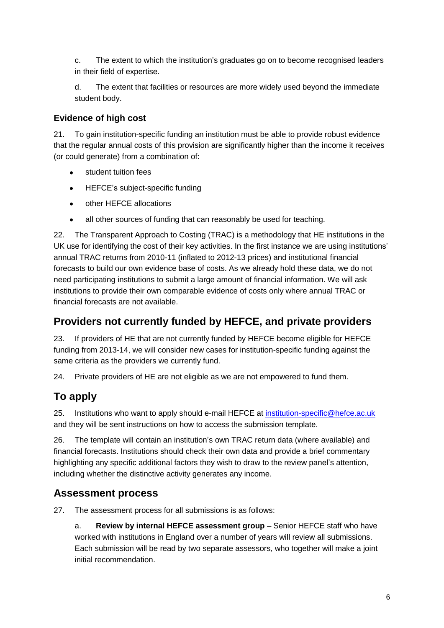c. The extent to which the institution's graduates go on to become recognised leaders in their field of expertise.

d. The extent that facilities or resources are more widely used beyond the immediate student body.

#### <span id="page-6-0"></span>**Evidence of high cost**

21. To gain institution-specific funding an institution must be able to provide robust evidence that the regular annual costs of this provision are significantly higher than the income it receives (or could generate) from a combination of:

- student tuition fees
- $\bullet$ HEFCE's subject-specific funding
- other HEFCE allocations
- all other sources of funding that can reasonably be used for teaching.  $\bullet$

22. The Transparent Approach to Costing (TRAC) is a methodology that HE institutions in the UK use for identifying the cost of their key activities. In the first instance we are using institutions' annual TRAC returns from 2010-11 (inflated to 2012-13 prices) and institutional financial forecasts to build our own evidence base of costs. As we already hold these data, we do not need participating institutions to submit a large amount of financial information. We will ask institutions to provide their own comparable evidence of costs only where annual TRAC or financial forecasts are not available.

# <span id="page-6-1"></span>**Providers not currently funded by HEFCE, and private providers**

23. If providers of HE that are not currently funded by HEFCE become eligible for HEFCE funding from 2013-14, we will consider new cases for institution-specific funding against the same criteria as the providers we currently fund.

24. Private providers of HE are not eligible as we are not empowered to fund them.

# <span id="page-6-2"></span>**To apply**

25. Institutions who want to apply should e-mail HEFCE at [institution-specific@hefce.ac.uk](mailto:institution-specific@hefce.ac.uk) and they will be sent instructions on how to access the submission template.

26. The template will contain an institution's own TRAC return data (where available) and financial forecasts. Institutions should check their own data and provide a brief commentary highlighting any specific additional factors they wish to draw to the review panel's attention, including whether the distinctive activity generates any income.

# <span id="page-6-3"></span>**Assessment process**

27. The assessment process for all submissions is as follows:

a. **Review by internal HEFCE assessment group** – Senior HEFCE staff who have worked with institutions in England over a number of years will review all submissions. Each submission will be read by two separate assessors, who together will make a joint initial recommendation.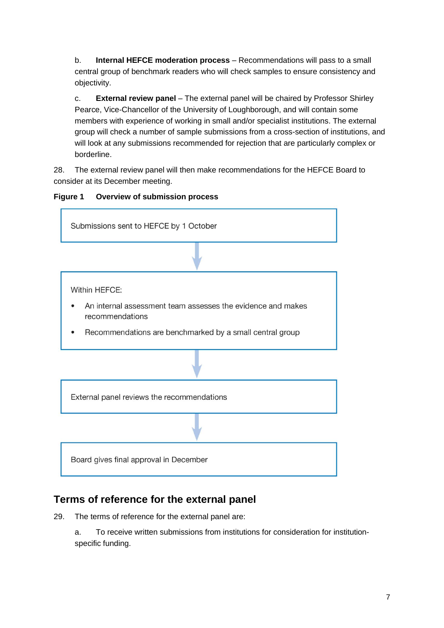b. **Internal HEFCE moderation process** – Recommendations will pass to a small central group of benchmark readers who will check samples to ensure consistency and objectivity.

c. **External review panel** – The external panel will be chaired by Professor Shirley Pearce, Vice-Chancellor of the University of Loughborough, and will contain some members with experience of working in small and/or specialist institutions. The external group will check a number of sample submissions from a cross-section of institutions, and will look at any submissions recommended for rejection that are particularly complex or borderline.

28. The external review panel will then make recommendations for the HEFCE Board to consider at its December meeting.





# <span id="page-7-0"></span>**Terms of reference for the external panel**

29. The terms of reference for the external panel are:

a. To receive written submissions from institutions for consideration for institutionspecific funding.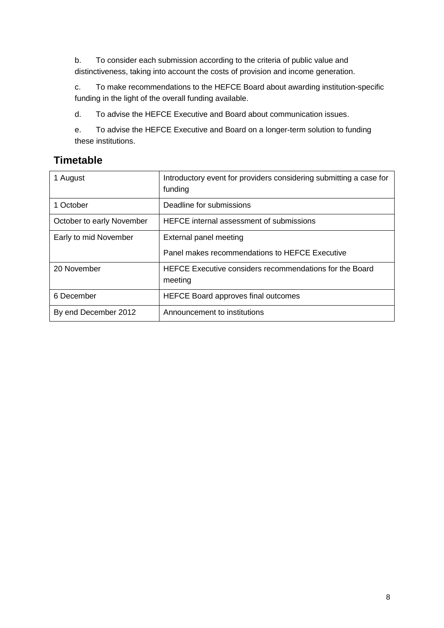b. To consider each submission according to the criteria of public value and distinctiveness, taking into account the costs of provision and income generation.

c. To make recommendations to the HEFCE Board about awarding institution-specific funding in the light of the overall funding available.

d. To advise the HEFCE Executive and Board about communication issues.

e. To advise the HEFCE Executive and Board on a longer-term solution to funding these institutions.

# <span id="page-8-0"></span>**Timetable**

| 1 August                  | Introductory event for providers considering submitting a case for<br>funding |
|---------------------------|-------------------------------------------------------------------------------|
| 1 October                 | Deadline for submissions                                                      |
| October to early November | HEFCE internal assessment of submissions                                      |
| Early to mid November     | External panel meeting                                                        |
|                           | Panel makes recommendations to HEFCE Executive                                |
| 20 November               | HEFCE Executive considers recommendations for the Board<br>meeting            |
| 6 December                | <b>HEFCE Board approves final outcomes</b>                                    |
| By end December 2012      | Announcement to institutions                                                  |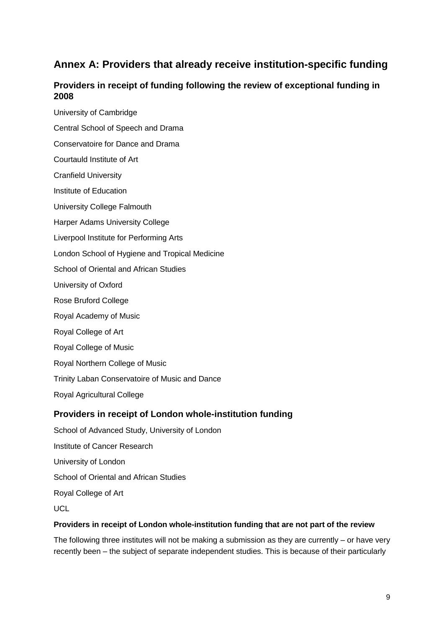# <span id="page-9-0"></span>**Annex A: Providers that already receive institution-specific funding**

## **Providers in receipt of funding following the review of exceptional funding in 2008**

University of Cambridge Central School of Speech and Drama Conservatoire for Dance and Drama Courtauld Institute of Art Cranfield University Institute of Education University College Falmouth Harper Adams University College Liverpool Institute for Performing Arts London School of Hygiene and Tropical Medicine School of Oriental and African Studies University of Oxford Rose Bruford College Royal Academy of Music Royal College of Art Royal College of Music Royal Northern College of Music Trinity Laban Conservatoire of Music and Dance Royal Agricultural College

#### **Providers in receipt of London whole-institution funding**

School of Advanced Study, University of London Institute of Cancer Research University of London School of Oriental and African Studies Royal College of Art UCL

#### **Providers in receipt of London whole-institution funding that are not part of the review**

The following three institutes will not be making a submission as they are currently – or have very recently been – the subject of separate independent studies. This is because of their particularly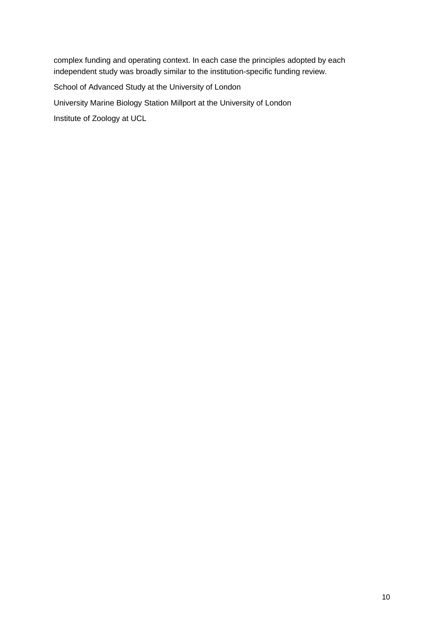complex funding and operating context. In each case the principles adopted by each independent study was broadly similar to the institution-specific funding review.

School of Advanced Study at the University of London

University Marine Biology Station Millport at the University of London

Institute of Zoology at UCL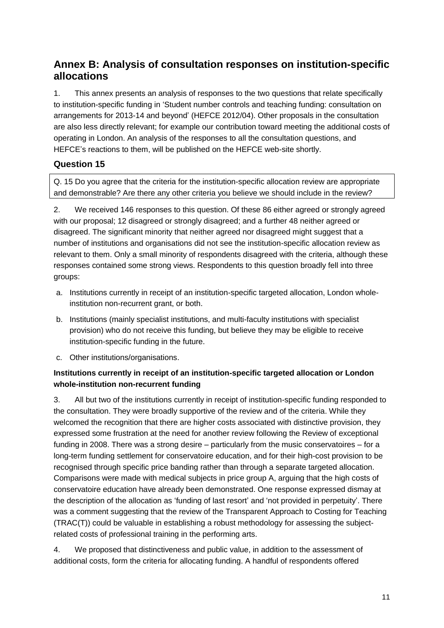# <span id="page-11-0"></span>**Annex B: Analysis of consultation responses on institution-specific allocations**

1. This annex presents an analysis of responses to the two questions that relate specifically to institution-specific funding in 'Student number controls and teaching funding: consultation on arrangements for 2013-14 and beyond' (HEFCE 2012/04). Other proposals in the consultation are also less directly relevant; for example our contribution toward meeting the additional costs of operating in London. An analysis of the responses to all the consultation questions, and HEFCE's reactions to them, will be published on the HEFCE web-site shortly.

## **Question 15**

Q. 15 Do you agree that the criteria for the institution-specific allocation review are appropriate and demonstrable? Are there any other criteria you believe we should include in the review?

2. We received 146 responses to this question. Of these 86 either agreed or strongly agreed with our proposal; 12 disagreed or strongly disagreed; and a further 48 neither agreed or disagreed. The significant minority that neither agreed nor disagreed might suggest that a number of institutions and organisations did not see the institution-specific allocation review as relevant to them. Only a small minority of respondents disagreed with the criteria, although these responses contained some strong views. Respondents to this question broadly fell into three groups:

- a. Institutions currently in receipt of an institution-specific targeted allocation, London wholeinstitution non-recurrent grant, or both.
- b. Institutions (mainly specialist institutions, and multi-faculty institutions with specialist provision) who do not receive this funding, but believe they may be eligible to receive institution-specific funding in the future.
- c. Other institutions/organisations.

#### **Institutions currently in receipt of an institution-specific targeted allocation or London whole-institution non-recurrent funding**

3. All but two of the institutions currently in receipt of institution-specific funding responded to the consultation. They were broadly supportive of the review and of the criteria. While they welcomed the recognition that there are higher costs associated with distinctive provision, they expressed some frustration at the need for another review following the Review of exceptional funding in 2008. There was a strong desire – particularly from the music conservatoires – for a long-term funding settlement for conservatoire education, and for their high-cost provision to be recognised through specific price banding rather than through a separate targeted allocation. Comparisons were made with medical subjects in price group A, arguing that the high costs of conservatoire education have already been demonstrated. One response expressed dismay at the description of the allocation as 'funding of last resort' and 'not provided in perpetuity'. There was a comment suggesting that the review of the Transparent Approach to Costing for Teaching (TRAC(T)) could be valuable in establishing a robust methodology for assessing the subjectrelated costs of professional training in the performing arts.

4. We proposed that distinctiveness and public value, in addition to the assessment of additional costs, form the criteria for allocating funding. A handful of respondents offered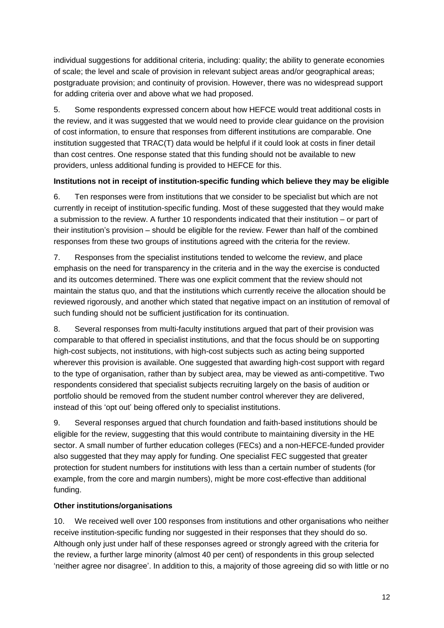individual suggestions for additional criteria, including: quality; the ability to generate economies of scale; the level and scale of provision in relevant subject areas and/or geographical areas; postgraduate provision; and continuity of provision. However, there was no widespread support for adding criteria over and above what we had proposed.

5. Some respondents expressed concern about how HEFCE would treat additional costs in the review, and it was suggested that we would need to provide clear guidance on the provision of cost information, to ensure that responses from different institutions are comparable. One institution suggested that TRAC(T) data would be helpful if it could look at costs in finer detail than cost centres. One response stated that this funding should not be available to new providers, unless additional funding is provided to HEFCE for this.

#### **Institutions not in receipt of institution-specific funding which believe they may be eligible**

6. Ten responses were from institutions that we consider to be specialist but which are not currently in receipt of institution-specific funding. Most of these suggested that they would make a submission to the review. A further 10 respondents indicated that their institution – or part of their institution's provision – should be eligible for the review. Fewer than half of the combined responses from these two groups of institutions agreed with the criteria for the review.

7. Responses from the specialist institutions tended to welcome the review, and place emphasis on the need for transparency in the criteria and in the way the exercise is conducted and its outcomes determined. There was one explicit comment that the review should not maintain the status quo, and that the institutions which currently receive the allocation should be reviewed rigorously, and another which stated that negative impact on an institution of removal of such funding should not be sufficient justification for its continuation.

8. Several responses from multi-faculty institutions argued that part of their provision was comparable to that offered in specialist institutions, and that the focus should be on supporting high-cost subjects, not institutions, with high-cost subjects such as acting being supported wherever this provision is available. One suggested that awarding high-cost support with regard to the type of organisation, rather than by subject area, may be viewed as anti-competitive. Two respondents considered that specialist subjects recruiting largely on the basis of audition or portfolio should be removed from the student number control wherever they are delivered, instead of this 'opt out' being offered only to specialist institutions.

9. Several responses argued that church foundation and faith-based institutions should be eligible for the review, suggesting that this would contribute to maintaining diversity in the HE sector. A small number of further education colleges (FECs) and a non-HEFCE-funded provider also suggested that they may apply for funding. One specialist FEC suggested that greater protection for student numbers for institutions with less than a certain number of students (for example, from the core and margin numbers), might be more cost-effective than additional funding.

#### **Other institutions/organisations**

10. We received well over 100 responses from institutions and other organisations who neither receive institution-specific funding nor suggested in their responses that they should do so. Although only just under half of these responses agreed or strongly agreed with the criteria for the review, a further large minority (almost 40 per cent) of respondents in this group selected 'neither agree nor disagree'. In addition to this, a majority of those agreeing did so with little or no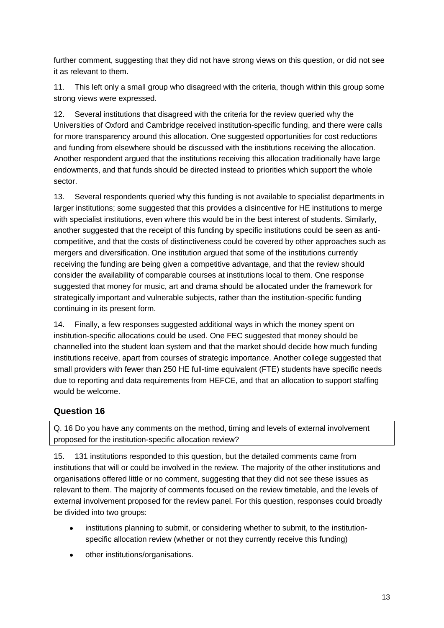further comment, suggesting that they did not have strong views on this question, or did not see it as relevant to them.

11. This left only a small group who disagreed with the criteria, though within this group some strong views were expressed.

12. Several institutions that disagreed with the criteria for the review queried why the Universities of Oxford and Cambridge received institution-specific funding, and there were calls for more transparency around this allocation. One suggested opportunities for cost reductions and funding from elsewhere should be discussed with the institutions receiving the allocation. Another respondent argued that the institutions receiving this allocation traditionally have large endowments, and that funds should be directed instead to priorities which support the whole sector.

13. Several respondents queried why this funding is not available to specialist departments in larger institutions; some suggested that this provides a disincentive for HE institutions to merge with specialist institutions, even where this would be in the best interest of students. Similarly, another suggested that the receipt of this funding by specific institutions could be seen as anticompetitive, and that the costs of distinctiveness could be covered by other approaches such as mergers and diversification. One institution argued that some of the institutions currently receiving the funding are being given a competitive advantage, and that the review should consider the availability of comparable courses at institutions local to them. One response suggested that money for music, art and drama should be allocated under the framework for strategically important and vulnerable subjects, rather than the institution-specific funding continuing in its present form.

14. Finally, a few responses suggested additional ways in which the money spent on institution-specific allocations could be used. One FEC suggested that money should be channelled into the student loan system and that the market should decide how much funding institutions receive, apart from courses of strategic importance. Another college suggested that small providers with fewer than 250 HE full-time equivalent (FTE) students have specific needs due to reporting and data requirements from HEFCE, and that an allocation to support staffing would be welcome.

#### **Question 16**

Q. 16 Do you have any comments on the method, timing and levels of external involvement proposed for the institution-specific allocation review?

15. 131 institutions responded to this question, but the detailed comments came from institutions that will or could be involved in the review. The majority of the other institutions and organisations offered little or no comment, suggesting that they did not see these issues as relevant to them. The majority of comments focused on the review timetable, and the levels of external involvement proposed for the review panel. For this question, responses could broadly be divided into two groups:

- institutions planning to submit, or considering whether to submit, to the institutionspecific allocation review (whether or not they currently receive this funding)
- other institutions/organisations.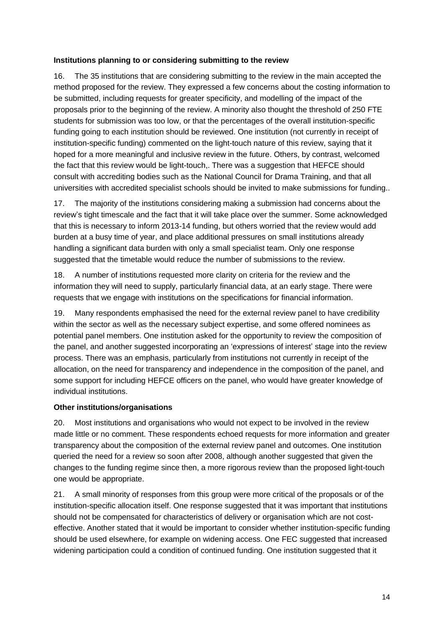#### **Institutions planning to or considering submitting to the review**

16. The 35 institutions that are considering submitting to the review in the main accepted the method proposed for the review. They expressed a few concerns about the costing information to be submitted, including requests for greater specificity, and modelling of the impact of the proposals prior to the beginning of the review. A minority also thought the threshold of 250 FTE students for submission was too low, or that the percentages of the overall institution-specific funding going to each institution should be reviewed. One institution (not currently in receipt of institution-specific funding) commented on the light-touch nature of this review, saying that it hoped for a more meaningful and inclusive review in the future. Others, by contrast, welcomed the fact that this review would be light-touch,. There was a suggestion that HEFCE should consult with accrediting bodies such as the National Council for Drama Training, and that all universities with accredited specialist schools should be invited to make submissions for funding..

17. The majority of the institutions considering making a submission had concerns about the review's tight timescale and the fact that it will take place over the summer. Some acknowledged that this is necessary to inform 2013-14 funding, but others worried that the review would add burden at a busy time of year, and place additional pressures on small institutions already handling a significant data burden with only a small specialist team. Only one response suggested that the timetable would reduce the number of submissions to the review.

18. A number of institutions requested more clarity on criteria for the review and the information they will need to supply, particularly financial data, at an early stage. There were requests that we engage with institutions on the specifications for financial information.

19. Many respondents emphasised the need for the external review panel to have credibility within the sector as well as the necessary subject expertise, and some offered nominees as potential panel members. One institution asked for the opportunity to review the composition of the panel, and another suggested incorporating an 'expressions of interest' stage into the review process. There was an emphasis, particularly from institutions not currently in receipt of the allocation, on the need for transparency and independence in the composition of the panel, and some support for including HEFCE officers on the panel, who would have greater knowledge of individual institutions.

#### **Other institutions/organisations**

20. Most institutions and organisations who would not expect to be involved in the review made little or no comment. These respondents echoed requests for more information and greater transparency about the composition of the external review panel and outcomes. One institution queried the need for a review so soon after 2008, although another suggested that given the changes to the funding regime since then, a more rigorous review than the proposed light-touch one would be appropriate.

21. A small minority of responses from this group were more critical of the proposals or of the institution-specific allocation itself. One response suggested that it was important that institutions should not be compensated for characteristics of delivery or organisation which are not costeffective. Another stated that it would be important to consider whether institution-specific funding should be used elsewhere, for example on widening access. One FEC suggested that increased widening participation could a condition of continued funding. One institution suggested that it